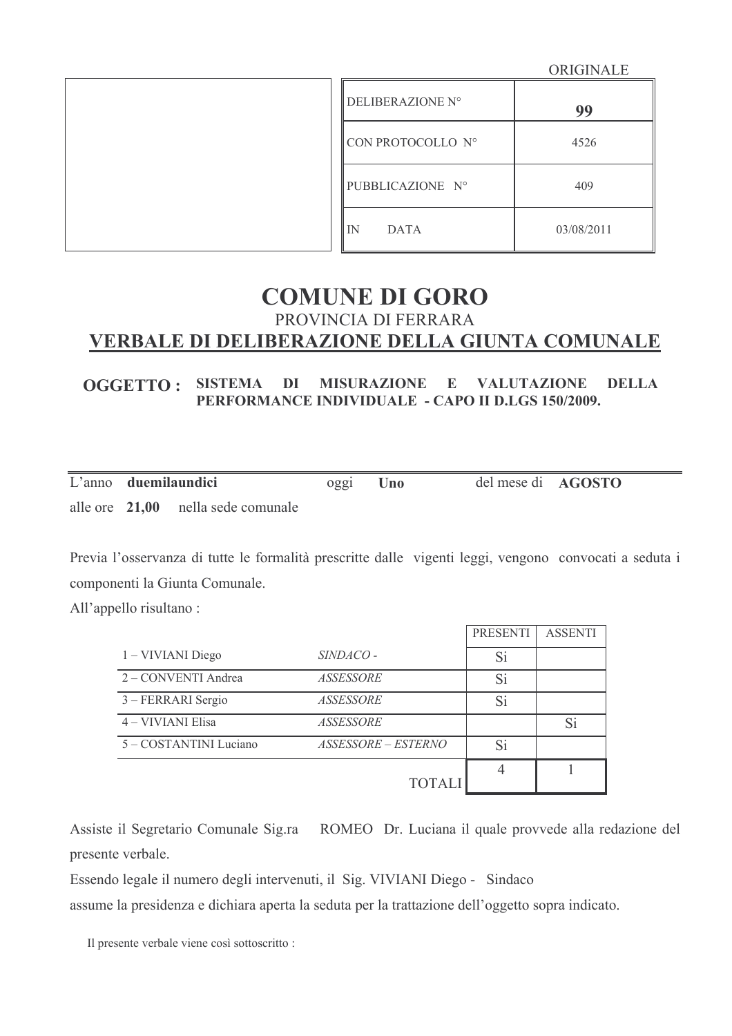ORIGINALE

| DELIBERAZIONE N°    | 99         |
|---------------------|------------|
| CON PROTOCOLLO N°   | 4526       |
| PUBBLICAZIONE Nº    | 409        |
| l IN<br><b>DATA</b> | 03/08/2011 |

# **COMUNE DI GORO** PROVINCIA DI FERRARA VERBALE DI DELIBERAZIONE DELLA GIUNTA COMUNALE

#### **OGGETTO: SISTEMA DI MISURAZIONE E VALUTAZIONE DELLA** PERFORMANCE INDIVIDUALE - CAPO II D.LGS 150/2009.

|  | L'anno duemilaundici               | 0gg1 | Uno | del mese di AGOSTO |  |
|--|------------------------------------|------|-----|--------------------|--|
|  | alle ore 21.00 nella sede comunale |      |     |                    |  |

Previa l'osservanza di tutte le formalità prescritte dalle vigenti leggi, vengono convocati a seduta i componenti la Giunta Comunale.

All'appello risultano:

|                        |                     | <b>PRESENTI</b> | <b>ASSENTI</b> |
|------------------------|---------------------|-----------------|----------------|
| 1 – VIVIANI Diego      | SINDACO -           | Si              |                |
| 2 – CONVENTI Andrea    | ASSESSORE           | Si              |                |
| 3 – FERRARI Sergio     | ASSESSORE           | Si              |                |
| 4 - VIVIANI Elisa      | ASSESSORE           |                 | Si             |
| 5 - COSTANTINI Luciano | ASSESSORE – ESTERNO | Si              |                |
|                        | <b>TOTALI</b>       |                 |                |

Assiste il Segretario Comunale Sig.ra ROMEO Dr. Luciana il quale provvede alla redazione del presente verbale.

Essendo legale il numero degli intervenuti, il Sig. VIVIANI Diego - Sindaco

assume la presidenza e dichiara aperta la seduta per la trattazione dell'oggetto sopra indicato.

Il presente verbale viene così sottoscritto :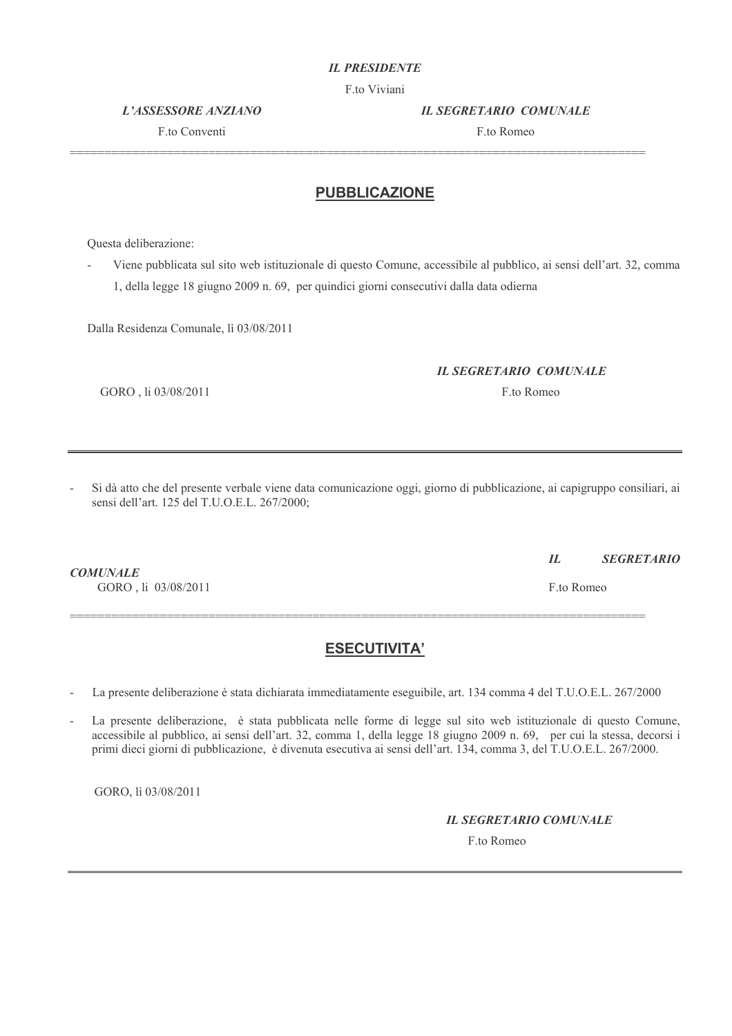#### **IL PRESIDENTE**

F.to Viviani

**L'ASSESSORE ANZIANO** 

F to Conventi

**IL SEGRETARIO COMUNALE** 

F to Romeo

#### **PUBBLICAZIONE**

Questa deliberazione:

Viene pubblicata sul sito web istituzionale di questo Comune, accessibile al pubblico, ai sensi dell'art. 32, comma 1, della legge 18 giugno 2009 n. 69, per quindici giorni consecutivi dalla data odierna

Dalla Residenza Comunale, lì 03/08/2011

#### **IL SEGRETARIO COMUNALE**

F.to Romeo

GORO, li 03/08/2011

Si dà atto che del presente verbale viene data comunicazione oggi, giorno di pubblicazione, ai capigruppo consiliari, ai sensi dell'art. 125 del T.U.O.E.L. 267/2000;

**COMUNALE** GORO, li 03/08/2011

# **ESECUTIVITA'**

La presente deliberazione è stata dichiarata immediatamente eseguibile, art. 134 comma 4 del T.U.O.E.L. 267/2000

La presente deliberazione, è stata pubblicata nelle forme di legge sul sito web istituzionale di questo Comune, accessibile al pubblico, ai sensi dell'art. 32, comma 1, della legge 18 giugno 2009 n. 69, per cui la stessa, decorsi i primi dieci giorni di pubblicazione, è divenuta esecutiva ai sensi dell'art. 134, comma 3, del T.U.O.E.L. 267/2000.

GORO, lì 03/08/2011

**IL SEGRETARIO COMUNALE** 

F.to Romeo

 $IL$ **SEGRETARIO** 

F.to Romeo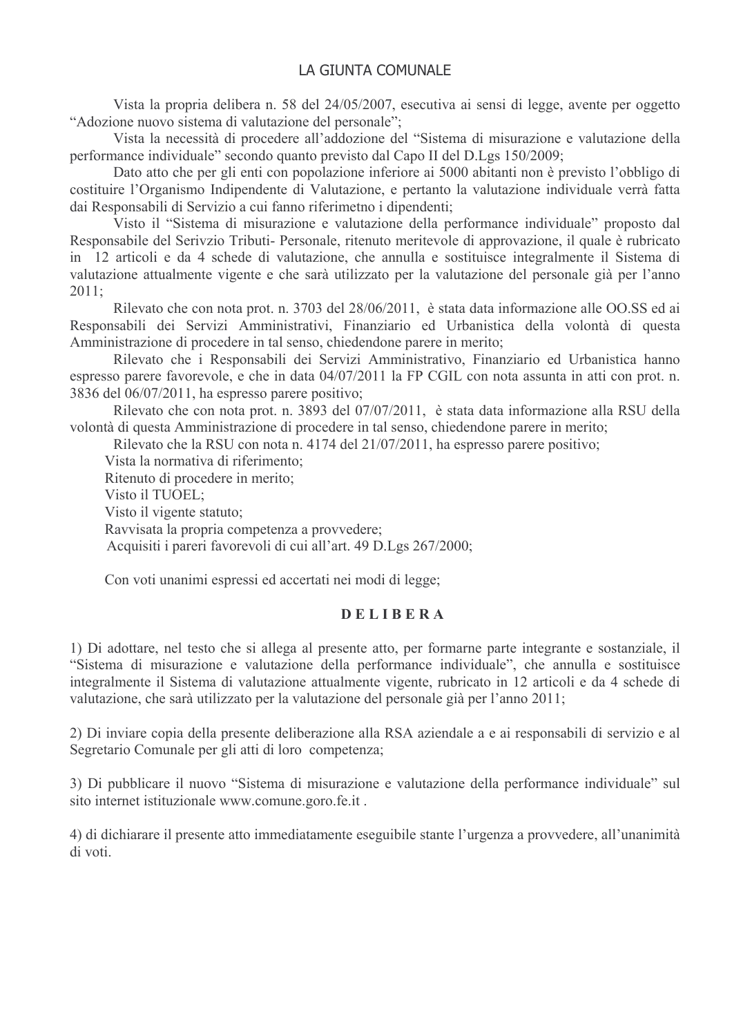Vista la propria delibera n. 58 del 24/05/2007, esecutiva ai sensi di legge, avente per oggetto "Adozione nuovo sistema di valutazione del personale":

Vista la necessità di procedere all'addozione del "Sistema di misurazione e valutazione della performance individuale" secondo quanto previsto dal Capo II del D.Lgs 150/2009;

Dato atto che per gli enti con popolazione inferiore ai 5000 abitanti non è previsto l'obbligo di costituire l'Organismo Indipendente di Valutazione, e pertanto la valutazione individuale verrà fatta dai Responsabili di Servizio a cui fanno riferimetno i dipendenti;

Visto il "Sistema di misurazione e valutazione della performance individuale" proposto dal Responsabile del Serivzio Tributi- Personale, ritenuto meritevole di approvazione, il quale è rubricato in 12 articoli e da 4 schede di valutazione, che annulla e sostituisce integralmente il Sistema di valutazione attualmente vigente e che sarà utilizzato per la valutazione del personale già per l'anno  $2011 -$ 

Rilevato che con nota prot. n. 3703 del 28/06/2011, è stata data informazione alle OO.SS ed ai Responsabili dei Servizi Amministrativi, Finanziario ed Urbanistica della volontà di questa Amministrazione di procedere in tal senso, chiedendone parere in merito;

Rilevato che i Responsabili dei Servizi Amministrativo, Finanziario ed Urbanistica hanno espresso parere favorevole, e che in data 04/07/2011 la FP CGIL con nota assunta in atti con prot. n. 3836 del 06/07/2011, ha espresso parere positivo;

Rilevato che con nota prot. n. 3893 del 07/07/2011, è stata data informazione alla RSU della volontà di questa Amministrazione di procedere in tal senso, chiedendone parere in merito:

Rilevato che la RSU con nota n. 4174 del 21/07/2011, ha espresso parere positivo;

Vista la normativa di riferimento;

Ritenuto di procedere in merito;

Visto il TUOEL:

Visto il vigente statuto:

Ravvisata la propria competenza a provvedere;

Acquisiti i pareri favorevoli di cui all'art. 49 D.Lgs 267/2000;

Con voti unanimi espressi ed accertati nei modi di legge:

#### **DELIBERA**

1) Di adottare, nel testo che si allega al presente atto, per formarne parte integrante e sostanziale, il "Sistema di misurazione e valutazione della performance individuale", che annulla e sostituisce integralmente il Sistema di valutazione attualmente vigente, rubricato in 12 articoli e da 4 schede di valutazione, che sarà utilizzato per la valutazione del personale già per l'anno 2011;

2) Di inviare copia della presente deliberazione alla RSA aziendale a e ai responsabili di servizio e al Segretario Comunale per gli atti di loro competenza;

3) Di pubblicare il nuovo "Sistema di misurazione e valutazione della performance individuale" sul sito internet istituzionale www.comune.goro.fe.it.

4) di dichiarare il presente atto immediatamente eseguibile stante l'urgenza a provvedere, all'unanimità di voti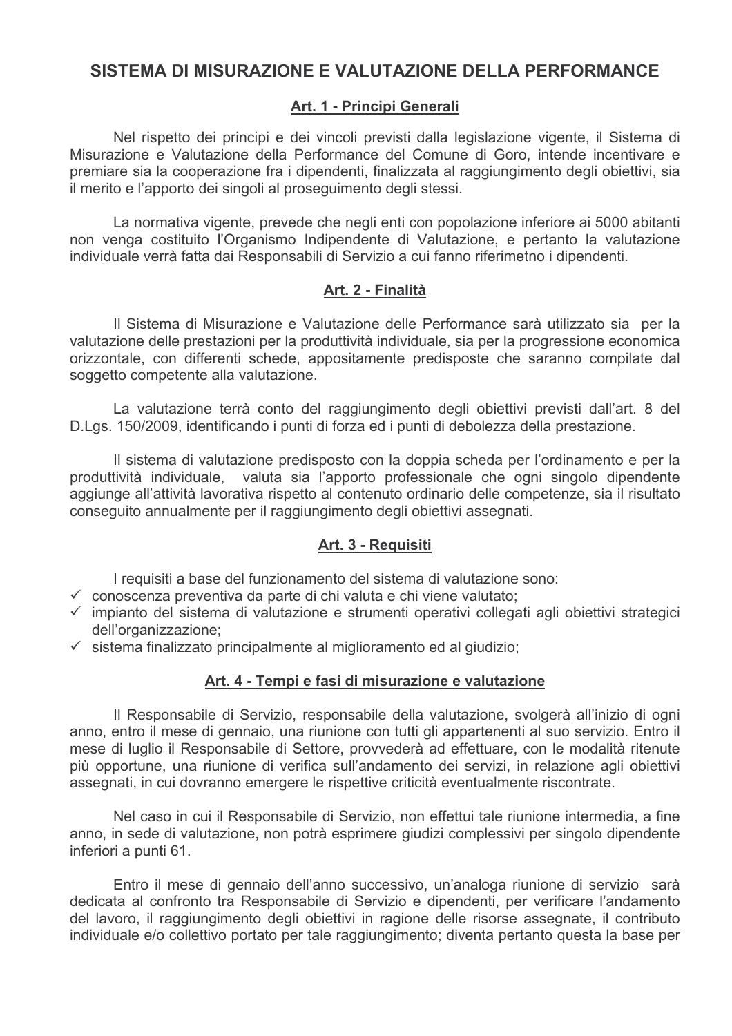# SISTEMA DI MISURAZIONE E VALUTAZIONE DELLA PERFORMANCE

# Art. 1 - Principi Generali

Nel rispetto dei principi e dei vincoli previsti dalla legislazione vigente, il Sistema di Misurazione e Valutazione della Performance del Comune di Goro, intende incentivare e premiare sia la cooperazione fra i dipendenti, finalizzata al raggiungimento degli obiettivi, sia il merito e l'apporto dei singoli al proseguimento degli stessi.

La normativa vigente, prevede che negli enti con popolazione inferiore ai 5000 abitanti non venga costituito l'Organismo Indipendente di Valutazione, e pertanto la valutazione individuale verrà fatta dai Responsabili di Servizio a cui fanno riferimetno i dipendenti.

# Art. 2 - Finalità

Il Sistema di Misurazione e Valutazione delle Performance sarà utilizzato sia per la valutazione delle prestazioni per la produttività individuale, sia per la progressione economica orizzontale, con differenti schede, appositamente predisposte che saranno compilate dal soggetto competente alla valutazione.

La valutazione terrà conto del raggiungimento degli obiettivi previsti dall'art. 8 del D.Lgs. 150/2009, identificando i punti di forza ed i punti di debolezza della prestazione.

Il sistema di valutazione predisposto con la doppia scheda per l'ordinamento e per la produttività individuale, valuta sia l'apporto professionale che ogni singolo dipendente aggiunge all'attività lavorativa rispetto al contenuto ordinario delle competenze, sia il risultato conseguito annualmente per il raggiungimento degli obiettivi assegnati.

# Art. 3 - Requisiti

I requisiti a base del funzionamento del sistema di valutazione sono:

- $\checkmark$  conoscenza preventiva da parte di chi valuta e chi viene valutato;
- √ impianto del sistema di valutazione e strumenti operativi collegati agli obiettivi strategici dell'organizzazione:
- $\checkmark$  sistema finalizzato principalmente al miglioramento ed al giudizio;

### Art. 4 - Tempi e fasi di misurazione e valutazione

Il Responsabile di Servizio, responsabile della valutazione, svolgerà all'inizio di ogni anno, entro il mese di gennaio, una riunione con tutti gli appartenenti al suo servizio. Entro il mese di luglio il Responsabile di Settore, provvederà ad effettuare, con le modalità ritenute più opportune, una riunione di verifica sull'andamento dei servizi, in relazione agli obiettivi assegnati, in cui dovranno emergere le rispettive criticità eventualmente riscontrate.

Nel caso in cui il Responsabile di Servizio, non effettui tale riunione intermedia, a fine anno, in sede di valutazione, non potrà esprimere giudizi complessivi per singolo dipendente inferiori a punti 61.

Entro il mese di gennaio dell'anno successivo, un'analoga riunione di servizio sarà dedicata al confronto tra Responsabile di Servizio e dipendenti, per verificare l'andamento del lavoro, il raggiungimento degli obiettivi in ragione delle risorse assegnate, il contributo individuale e/o collettivo portato per tale raggiungimento; diventa pertanto questa la base per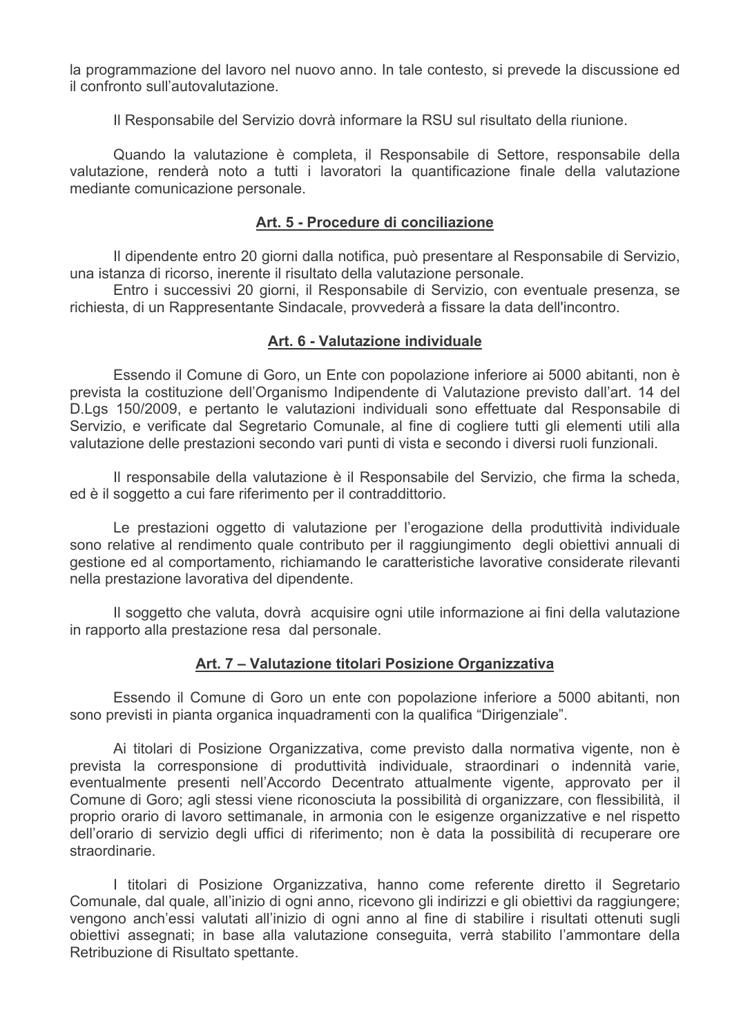la programmazione del lavoro nel nuovo anno. In tale contesto, si prevede la discussione ed il confronto sull'autovalutazione.

Il Responsabile del Servizio dovrà informare la RSU sul risultato della riunione.

Quando la valutazione è completa, il Responsabile di Settore, responsabile della valutazione, renderà noto a tutti i lavoratori la quantificazione finale della valutazione mediante comunicazione personale.

#### Art. 5 - Procedure di conciliazione

Il dipendente entro 20 giorni dalla notifica, può presentare al Responsabile di Servizio, una istanza di ricorso, inerente il risultato della valutazione personale.

Entro i successivi 20 giorni, il Responsabile di Servizio, con eventuale presenza, se richiesta, di un Rappresentante Sindacale, provvederà a fissare la data dell'incontro.

#### Art. 6 - Valutazione individuale

Essendo il Comune di Goro, un Ente con popolazione inferiore ai 5000 abitanti, non è prevista la costituzione dell'Organismo Indipendente di Valutazione previsto dall'art. 14 del D.Lgs 150/2009, e pertanto le valutazioni individuali sono effettuate dal Responsabile di Servizio, e verificate dal Segretario Comunale, al fine di cogliere tutti gli elementi utili alla valutazione delle prestazioni secondo vari punti di vista e secondo i diversi ruoli funzionali.

Il responsabile della valutazione è il Responsabile del Servizio, che firma la scheda, ed è il soggetto a cui fare riferimento per il contraddittorio.

Le prestazioni oggetto di valutazione per l'erogazione della produttività individuale sono relative al rendimento quale contributo per il raggiungimento degli obiettivi annuali di gestione ed al comportamento, richiamando le caratteristiche lavorative considerate rilevanti nella prestazione lavorativa del dipendente.

Il soggetto che valuta, dovrà acquisire ogni utile informazione ai fini della valutazione in rapporto alla prestazione resa dal personale.

### Art. 7 - Valutazione titolari Posizione Organizzativa

Essendo il Comune di Goro un ente con popolazione inferiore a 5000 abitanti, non sono previsti in pianta organica inquadramenti con la qualifica "Dirigenziale".

Ai titolari di Posizione Organizzativa, come previsto dalla normativa vigente, non è prevista la corresponsione di produttività individuale, straordinari o indennità varie, eventualmente presenti nell'Accordo Decentrato attualmente vigente, approvato per il Comune di Goro; agli stessi viene riconosciuta la possibilità di organizzare, con flessibilità, il proprio orario di lavoro settimanale, in armonia con le esigenze organizzative e nel rispetto dell'orario di servizio degli uffici di riferimento; non è data la possibilità di recuperare ore straordinarie.

I titolari di Posizione Organizzativa, hanno come referente diretto il Segretario Comunale, dal quale, all'inizio di ogni anno, ricevono gli indirizzi e gli obiettivi da raggiungere; vengono anch'essi valutati all'inizio di ogni anno al fine di stabilire i risultati ottenuti sugli obiettivi assegnati; in base alla valutazione conseguita, verrà stabilito l'ammontare della Retribuzione di Risultato spettante.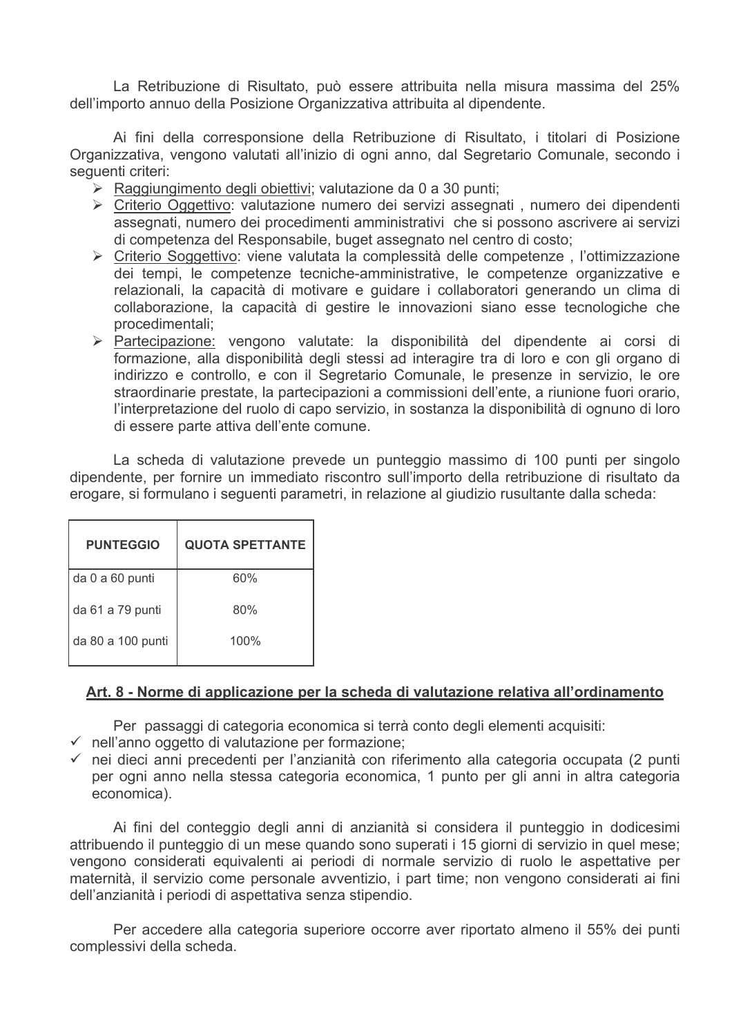La Retribuzione di Risultato, può essere attribuita nella misura massima del 25% dell'importo annuo della Posizione Organizzativa attribuita al dipendente.

Ai fini della corresponsione della Retribuzione di Risultato, i titolari di Posizione Organizzativa, vengono valutati all'inizio di ogni anno, dal Segretario Comunale, secondo i sequenti criteri:

- $\triangleright$  Raggiungimento degli obiettivi; valutazione da 0 a 30 punti;
- > Criterio Oggettivo: valutazione numero dei servizi assegnati, numero dei dipendenti assegnati, numero dei procedimenti amministrativi che si possono ascrivere ai servizi di competenza del Responsabile, buget assegnato nel centro di costo;
- > Criterio Soggettivo: viene valutata la complessità delle competenze, l'ottimizzazione dei tempi, le competenze tecniche-amministrative, le competenze organizzative e relazionali. la capacità di motivare e quidare i collaboratori generando un clima di collaborazione, la capacità di gestire le innovazioni siano esse tecnologiche che procedimentali:
- > Partecipazione: vengono valutate: la disponibilità del dipendente ai corsi di formazione, alla disponibilità degli stessi ad interagire tra di loro e con gli organo di indirizzo e controllo, e con il Segretario Comunale, le presenze in servizio, le ore straordinarie prestate, la partecipazioni a commissioni dell'ente, a riunione fuori orario, l'interpretazione del ruolo di capo servizio, in sostanza la disponibilità di ognuno di loro di essere parte attiva dell'ente comune.

La scheda di valutazione prevede un punteggio massimo di 100 punti per singolo dipendente, per fornire un immediato riscontro sull'importo della retribuzione di risultato da erogare, si formulano i sequenti parametri, in relazione al giudizio rusultante dalla scheda:

| <b>PUNTEGGIO</b>  | <b>QUOTA SPETTANTE</b> |
|-------------------|------------------------|
| da 0 a 60 punti   | 60%                    |
| da 61 a 79 punti  | 80%                    |
| da 80 a 100 punti | 100%                   |

### Art. 8 - Norme di applicazione per la scheda di valutazione relativa all'ordinamento

Per passaggi di categoria economica si terrà conto degli elementi acquisiti:

- $\checkmark$  nell'anno oggetto di valutazione per formazione;
- $\checkmark$  nei dieci anni precedenti per l'anzianità con riferimento alla categoria occupata (2 punti per ogni anno nella stessa categoria economica. 1 punto per gli anni in altra categoria economica).

Ai fini del conteggio degli anni di anzianità si considera il punteggio in dodicesimi attribuendo il punteggio di un mese guando sono superati i 15 giorni di servizio in quel mese; vengono considerati equivalenti ai periodi di normale servizio di ruolo le aspettative per maternità, il servizio come personale avventizio, i part time; non vengono considerati ai fini dell'anzianità i periodi di aspettativa senza stipendio.

Per accedere alla categoria superiore occorre aver riportato almeno il 55% dei punti complessivi della scheda.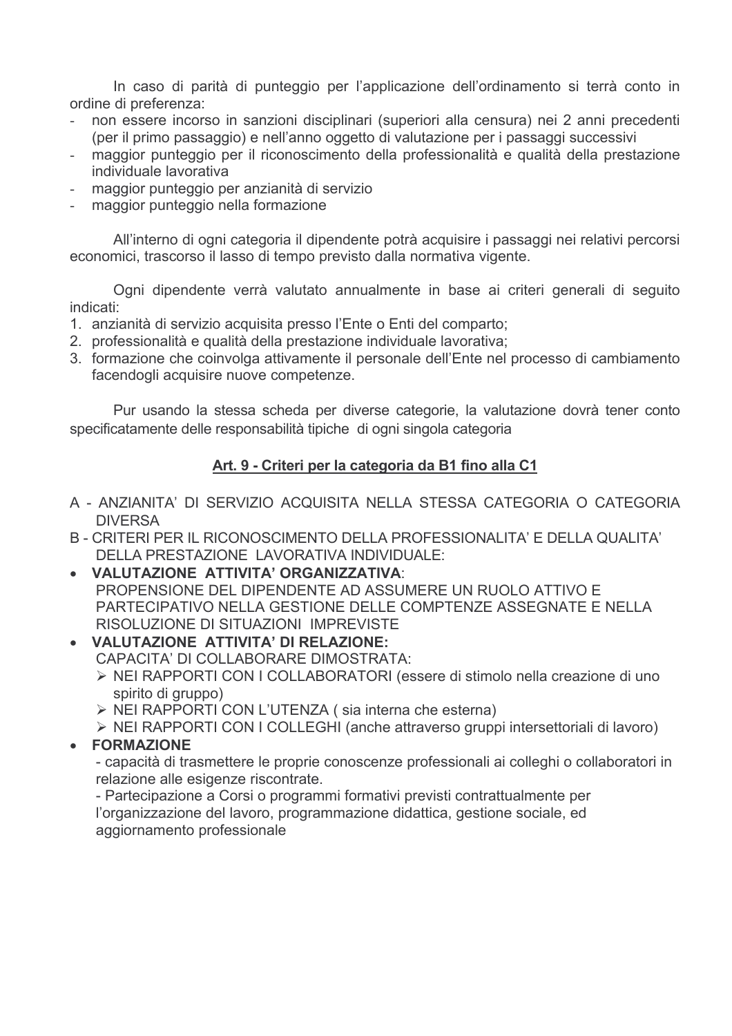In caso di parità di punteggio per l'applicazione dell'ordinamento si terrà conto in ordine di preferenza:

- non essere incorso in sanzioni disciplinari (superiori alla censura) nei 2 anni precedenti (per il primo passaggio) e nell'anno oggetto di valutazione per i passaggi successivi
- maggior punteggio per il riconoscimento della professionalità e qualità della prestazione individuale lavorativa
- maggior punteggio per anzianità di servizio
- maggior punteggio nella formazione

All'interno di ogni categoria il dipendente potrà acquisire i passaggi nei relativi percorsi economici, trascorso il lasso di tempo previsto dalla normativa vigente.

Ogni dipendente verrà valutato annualmente in base ai criteri generali di seguito indicati:

- 1. anzianità di servizio acquisita presso l'Ente o Enti del comparto;
- 2. professionalità e qualità della prestazione individuale lavorativa:
- 3. formazione che coinvolga attivamente il personale dell'Ente nel processo di cambiamento facendogli acquisire nuove competenze.

Pur usando la stessa scheda per diverse categorie, la valutazione dovrà tener conto specificatamente delle responsabilità tipiche di ogni singola categoria

# Art. 9 - Criteri per la categoria da B1 fino alla C1

- A ANZIANITA' DI SERVIZIO ACQUISITA NELLA STESSA CATEGORIA O CATEGORIA **DIVERSA**
- B CRITERI PER IL RICONOSCIMENTO DELLA PROFESSIONALITA' E DELLA QUALITA' DELLA PRESTAZIONE LAVORATIVA INDIVIDUALE:
- VALUTAZIONE ATTIVITA' ORGANIZZATIVA: PROPENSIONE DEL DIPENDENTE AD ASSUMERE UN RUOLO ATTIVO E PARTECIPATIVO NELLA GESTIONE DELLE COMPTENZE ASSEGNATE E NELLA RISOLUZIONE DI SITUAZIONI IMPREVISTE
- VALUTAZIONE ATTIVITA' DI RELAZIONE: CAPACITA' DI COLLABORARE DIMOSTRATA:
	- > NEI RAPPORTI CON I COLLABORATORI (essere di stimolo nella creazione di uno spirito di gruppo)
	- > NEI RAPPORTI CON L'UTENZA (sia interna che esterna)
	- > NEI RAPPORTI CON I COLLEGHI (anche attraverso gruppi intersettoriali di lavoro)

# • FORMAZIONE

- capacità di trasmettere le proprie conoscenze professionali ai colleghi o collaboratori in relazione alle esigenze riscontrate.

- Partecipazione a Corsi o programmi formativi previsti contrattualmente per l'organizzazione del lavoro, programmazione didattica, gestione sociale, ed aggiornamento professionale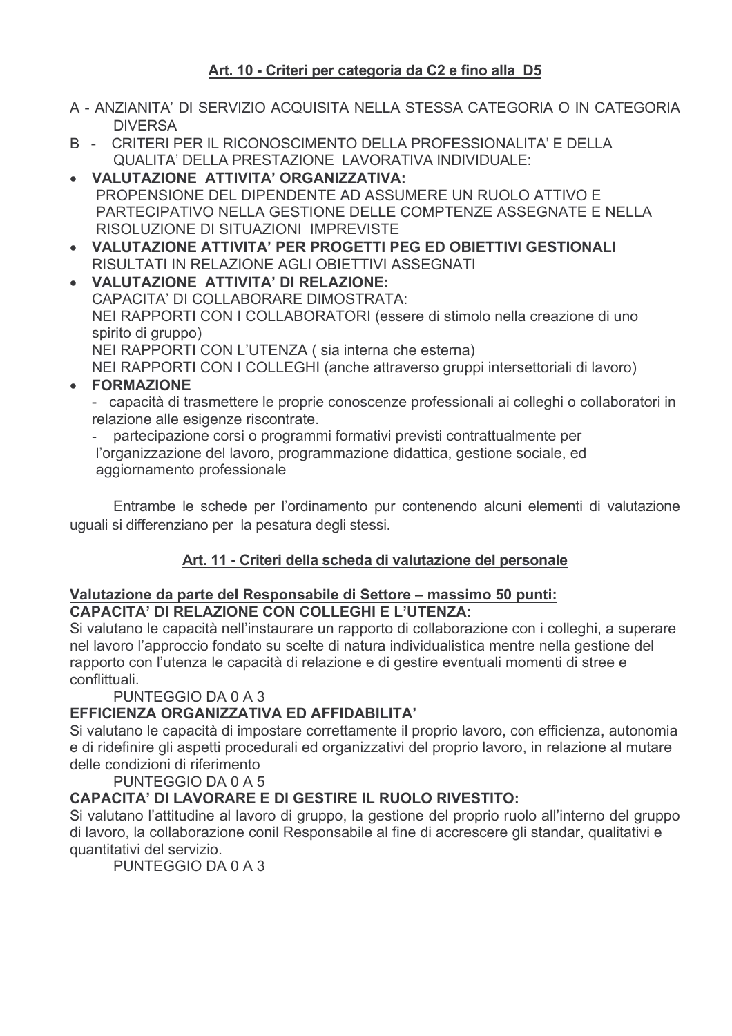# Art. 10 - Criteri per categoria da C2 e fino alla D5

- A ANZIANITA' DI SERVIZIO ACQUISITA NELLA STESSA CATEGORIA O IN CATEGORIA **DIVERSA**
- B CRITERI PER IL RICONOSCIMENTO DELLA PROFESSIONALITA' E DELLA **QUALITA' DELLA PRESTAZIONE LAVORATIVA INDIVIDUALE:**
- VALUTAZIONE ATTIVITA' ORGANIZZATIVA: PROPENSIONE DEL DIPENDENTE AD ASSUMERE UN RUOLO ATTIVO E PARTECIPATIVO NELLA GESTIONE DELLE COMPTENZE ASSEGNATE E NELLA RISOLUZIONE DI SITUAZIONI IMPREVISTE
- VALUTAZIONE ATTIVITA' PER PROGETTI PEG ED OBIETTIVI GESTIONALI RISULTATI IN RELAZIONE AGLI OBIETTIVI ASSEGNATI
- VALUTAZIONE ATTIVITA' DI RELAZIONE: CAPACITA' DI COLLABORARE DIMOSTRATA: NEI RAPPORTI CON I COLLABORATORI (essere di stimolo nella creazione di uno spirito di gruppo) NEI RAPPORTI CON L'UTENZA (sia interna che esterna) NEI RAPPORTI CON I COLLEGHI (anche attraverso gruppi intersettoriali di lavoro)
- FORMAZIONE

- capacità di trasmettere le proprie conoscenze professionali ai colleghi o collaboratori in relazione alle esigenze riscontrate.

partecipazione corsi o programmi formativi previsti contrattualmente per l'organizzazione del lavoro, programmazione didattica, gestione sociale, ed aggiornamento professionale

Entrambe le schede per l'ordinamento pur contenendo alcuni elementi di valutazione uguali si differenziano per la pesatura degli stessi.

# Art. 11 - Criteri della scheda di valutazione del personale

# Valutazione da parte del Responsabile di Settore - massimo 50 punti: CAPACITA' DI RELAZIONE CON COLLEGHI E L'UTENZA:

Si valutano le capacità nell'instaurare un rapporto di collaborazione con i colleghi, a superare nel lavoro l'approccio fondato su scelte di natura individualistica mentre nella gestione del rapporto con l'utenza le capacità di relazione e di gestire eventuali momenti di stree e conflittuali.

PUNTEGGIO DA 0 A 3

# EFFICIENZA ORGANIZZATIVA ED AFFIDABILITA'

Si valutano le capacità di impostare correttamente il proprio lavoro, con efficienza, autonomia e di ridefinire gli aspetti procedurali ed organizzativi del proprio lavoro, in relazione al mutare delle condizioni di riferimento

PUNTEGGIO DA 0 A 5

# **CAPACITA' DI LAVORARE E DI GESTIRE IL RUOLO RIVESTITO:**

Si valutano l'attitudine al lavoro di gruppo, la gestione del proprio ruolo all'interno del gruppo di lavoro, la collaborazione conil Responsabile al fine di accrescere gli standar, qualitativi e quantitativi del servizio.

PUNTEGGIO DA 0 A 3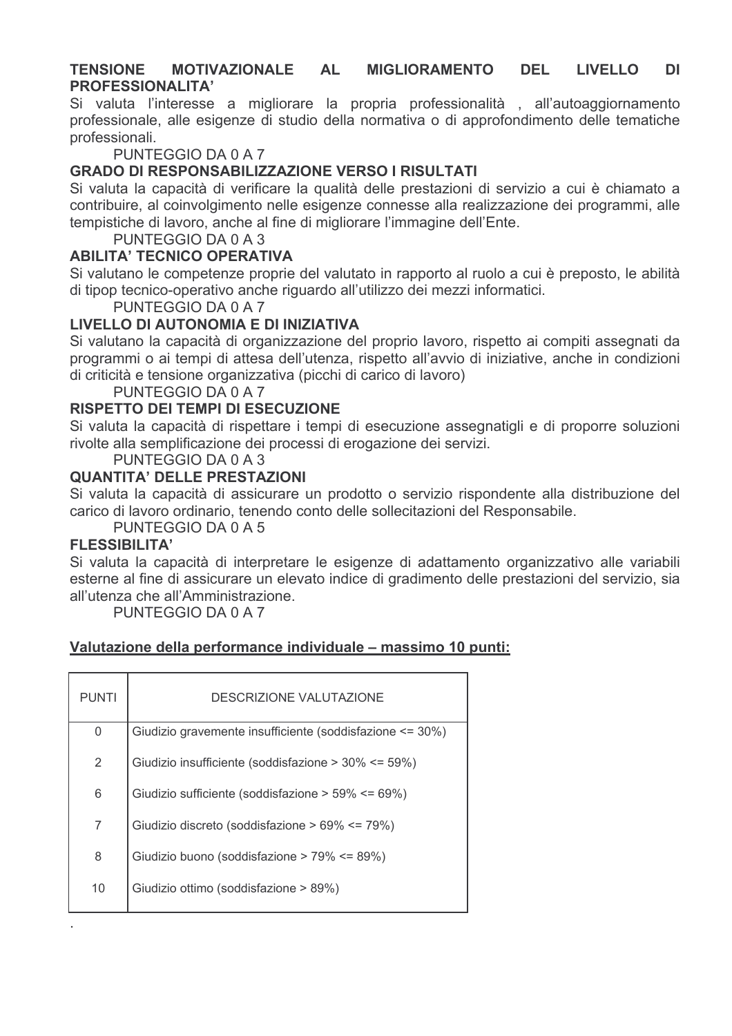#### **TENSIONE MOTIVAZIONALE AL MIGLIORAMENTO DEL LIVELLO DI PROFESSIONALITA'**

Si valuta l'interesse a migliorare la propria professionalità, all'autoaggiornamento professionale, alle esigenze di studio della normativa o di approfondimento delle tematiche professionali.

PUNTEGGIO DA 0 A 7

# GRADO DI RESPONSABILIZZAZIONE VERSO I RISULTATI

Si valuta la capacità di verificare la qualità delle prestazioni di servizio a cui è chiamato a contribuire, al coinvolgimento nelle esigenze connesse alla realizzazione dei programmi, alle tempistiche di lavoro, anche al fine di migliorare l'immagine dell'Ente.

PUNTEGGIO DA 0 A 3

### **ABILITA' TECNICO OPERATIVA**

Si valutano le competenze proprie del valutato in rapporto al ruolo a cui è preposto, le abilità di tipop tecnico-operativo anche riguardo all'utilizzo dei mezzi informatici.

PUNTEGGIO DA 0 A 7

# LIVELLO DI AUTONOMIA E DI INIZIATIVA

Si valutano la capacità di organizzazione del proprio lavoro, rispetto ai compiti assegnati da programmi o ai tempi di attesa dell'utenza, rispetto all'avvio di iniziative, anche in condizioni di criticità e tensione organizzativa (picchi di carico di lavoro)

PUNTEGGIO DA 0 A 7

# RISPETTO DEI TEMPI DI ESECUZIONE

Si valuta la capacità di rispettare i tempi di esecuzione assegnatigli e di proporre soluzioni rivolte alla semplificazione dei processi di erogazione dei servizi.

PUNTEGGIO DA 0 A 3

# **QUANTITA' DELLE PRESTAZIONI**

Si valuta la capacità di assicurare un prodotto o servizio rispondente alla distribuzione del carico di lavoro ordinario, tenendo conto delle sollecitazioni del Responsabile.

PUNTEGGIO DA 0 A 5

### **FLESSIBILITA'**

Si valuta la capacità di interpretare le esigenze di adattamento organizzativo alle variabili esterne al fine di assicurare un elevato indice di gradimento delle prestazioni del servizio, sia all'utenza che all'Amministrazione.

PUNTEGGIO DA 0 A 7

# Valutazione della performance individuale – massimo 10 punti:

| <b>PUNTI</b> | DESCRIZIONE VALUTAZIONE                                      |
|--------------|--------------------------------------------------------------|
| 0            | Giudizio gravemente insufficiente (soddisfazione $\leq$ 30%) |
| 2            | Giudizio insufficiente (soddisfazione > 30% <= 59%)          |
| 6            | Giudizio sufficiente (soddisfazione > $59\% \le 69\%$ )      |
| 7            | Giudizio discreto (soddisfazione > 69% <= 79%)               |
| 8            | Giudizio buono (soddisfazione > 79% <= 89%)                  |
| 10           | Giudizio ottimo (soddisfazione > 89%)                        |
|              |                                                              |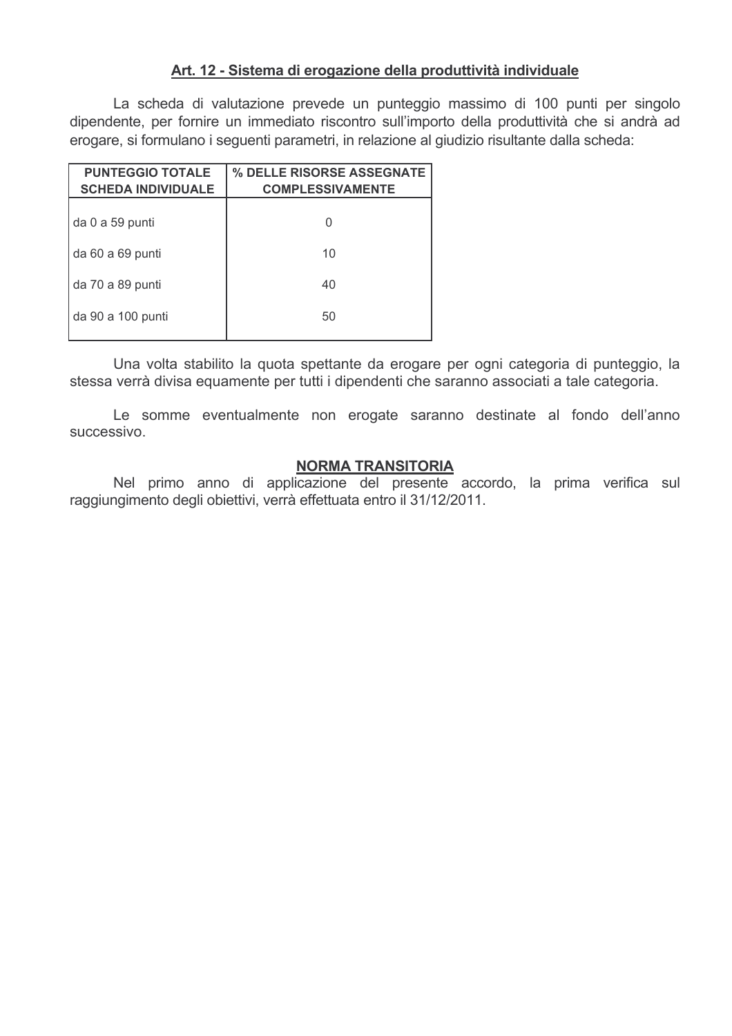### Art. 12 - Sistema di erogazione della produttività individuale

La scheda di valutazione prevede un punteggio massimo di 100 punti per singolo dipendente, per fornire un immediato riscontro sull'importo della produttività che si andrà ad erogare, si formulano i seguenti parametri, in relazione al giudizio risultante dalla scheda:

| <b>PUNTEGGIO TOTALE</b><br><b>SCHEDA INDIVIDUALE</b> | <b>% DELLE RISORSE ASSEGNATE</b><br><b>COMPLESSIVAMENTE</b> |
|------------------------------------------------------|-------------------------------------------------------------|
| da 0 a 59 punti                                      | U                                                           |
| da 60 a 69 punti                                     | 10                                                          |
| da 70 a 89 punti                                     | 40                                                          |
| da 90 a 100 punti                                    | 50                                                          |
|                                                      |                                                             |

Una volta stabilito la quota spettante da erogare per ogni categoria di punteggio, la stessa verrà divisa equamente per tutti i dipendenti che saranno associati a tale categoria.

Le somme eventualmente non erogate saranno destinate al fondo dell'anno successivo.

### **NORMA TRANSITORIA**

Nel primo anno di applicazione del presente accordo, la prima verifica sul raggiungimento degli obiettivi, verrà effettuata entro il 31/12/2011.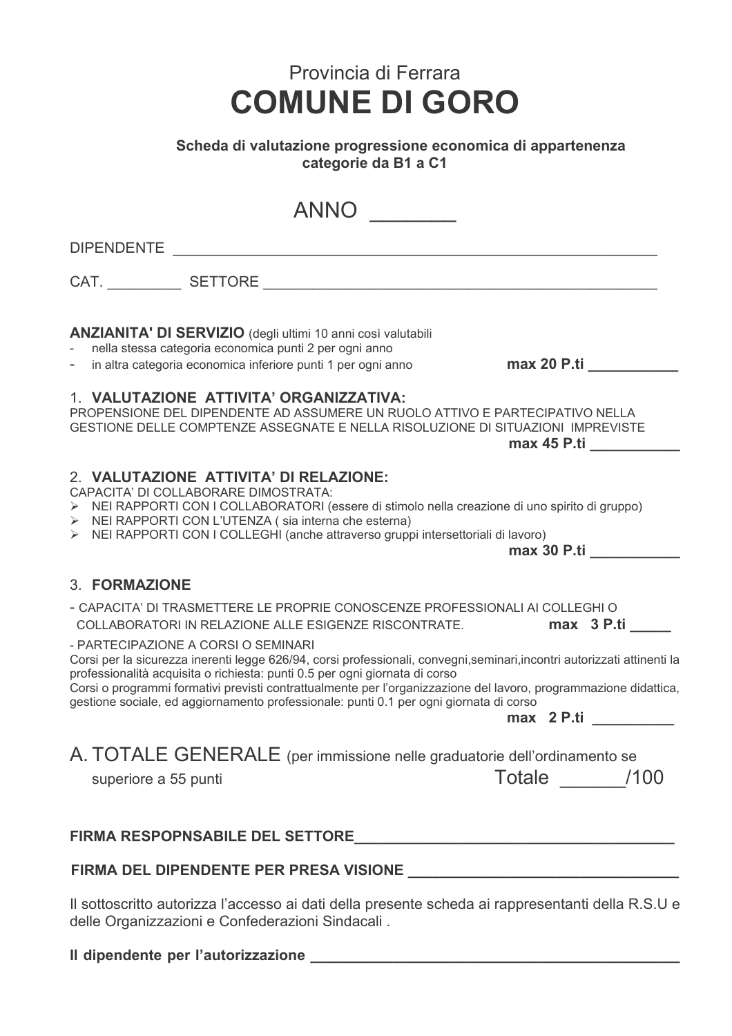# Scheda di valutazione progressione economica di appartenenza categorie da B1 a C1

| ANNO ___                                                                                                                                                                                                                                                                                                                                                                                                                                                     |                      |
|--------------------------------------------------------------------------------------------------------------------------------------------------------------------------------------------------------------------------------------------------------------------------------------------------------------------------------------------------------------------------------------------------------------------------------------------------------------|----------------------|
| DIPENDENTE EXPERIENCE AND THE STATE OF THE STATE OF THE STATE OF THE STATE OF THE STATE OF THE STATE OF THE ST                                                                                                                                                                                                                                                                                                                                               |                      |
|                                                                                                                                                                                                                                                                                                                                                                                                                                                              |                      |
| <b>ANZIANITA' DI SERVIZIO</b> (degli ultimi 10 anni così valutabili<br>nella stessa categoria economica punti 2 per ogni anno<br>in altra categoria economica inferiore punti 1 per ogni anno<br>$\overline{\phantom{0}}$                                                                                                                                                                                                                                    |                      |
| 1. VALUTAZIONE ATTIVITA' ORGANIZZATIVA:<br>PROPENSIONE DEL DIPENDENTE AD ASSUMERE UN RUOLO ATTIVO E PARTECIPATIVO NELLA<br>GESTIONE DELLE COMPTENZE ASSEGNATE E NELLA RISOLUZIONE DI SITUAZIONI IMPREVISTE                                                                                                                                                                                                                                                   | max 45 P.ti          |
| 2. VALUTAZIONE ATTIVITA' DI RELAZIONE:<br>CAPACITA' DI COLLABORARE DIMOSTRATA:<br>> NEI RAPPORTI CON I COLLABORATORI (essere di stimolo nella creazione di uno spirito di gruppo)<br>> NEI RAPPORTI CON L'UTENZA (sia interna che esterna)<br>> NEI RAPPORTI CON I COLLEGHI (anche attraverso gruppi intersettoriali di lavoro)                                                                                                                              | max 30 P.ti          |
| 3. FORMAZIONE                                                                                                                                                                                                                                                                                                                                                                                                                                                |                      |
| - CAPACITA' DI TRASMETTERE LE PROPRIE CONOSCENZE PROFESSIONALI AI COLLEGHI O<br>COLLABORATORI IN RELAZIONE ALLE ESIGENZE RISCONTRATE.                                                                                                                                                                                                                                                                                                                        | max 3 P.ti           |
| - PARTECIPAZIONE A CORSI O SEMINARI<br>Corsi per la sicurezza inerenti legge 626/94, corsi professionali, convegni, seminari, incontri autorizzati attinenti la<br>professionalità acquisita o richiesta: punti 0.5 per ogni giornata di corso<br>Corsi o programmi formativi previsti contrattualmente per l'organizzazione del lavoro, programmazione didattica,<br>gestione sociale, ed aggiornamento professionale: punti 0.1 per ogni giornata di corso | max 2 P.ti           |
| A. TOTALE GENERALE (per immissione nelle graduatorie dell'ordinamento se<br>superiore a 55 punti                                                                                                                                                                                                                                                                                                                                                             | Totale ________ /100 |
|                                                                                                                                                                                                                                                                                                                                                                                                                                                              |                      |
|                                                                                                                                                                                                                                                                                                                                                                                                                                                              |                      |

Il sottoscritto autorizza l'accesso ai dati della presente scheda ai rappresentanti della R.S.U e delle Organizzazioni e Confederazioni Sindacali.

#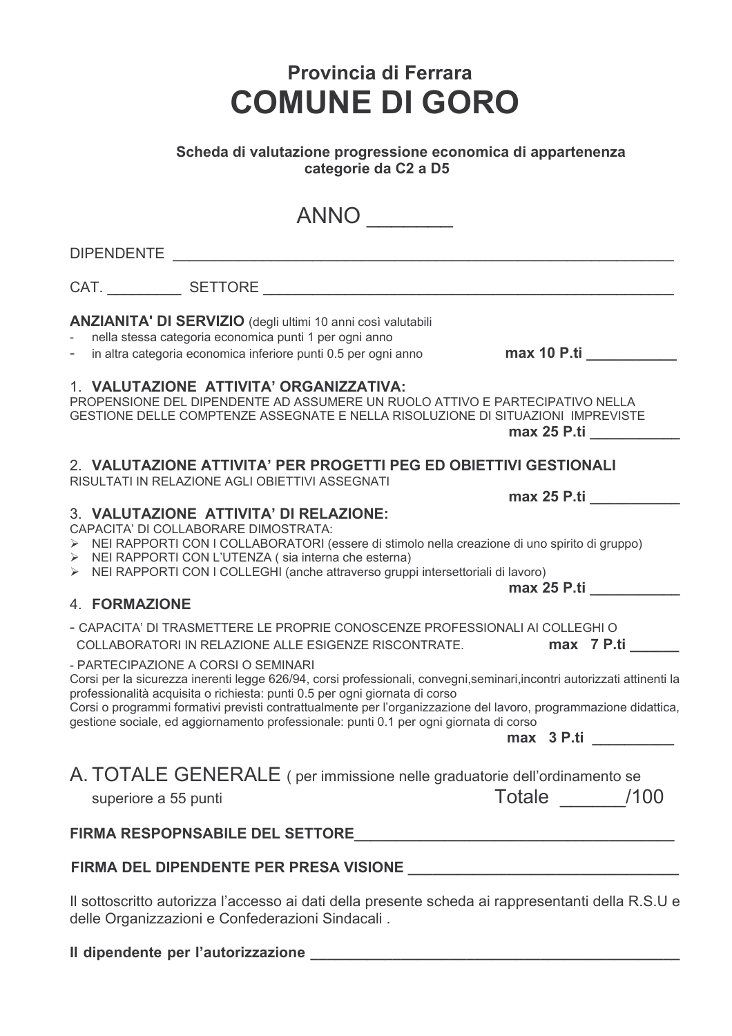### Scheda di valutazione progressione economica di appartenenza categorie da C2 a D5

| <b>ANNO</b>                                                                                                                                                                                                                                                                                                                                                                                                                                                                                                                                                                                                                              |
|------------------------------------------------------------------------------------------------------------------------------------------------------------------------------------------------------------------------------------------------------------------------------------------------------------------------------------------------------------------------------------------------------------------------------------------------------------------------------------------------------------------------------------------------------------------------------------------------------------------------------------------|
|                                                                                                                                                                                                                                                                                                                                                                                                                                                                                                                                                                                                                                          |
|                                                                                                                                                                                                                                                                                                                                                                                                                                                                                                                                                                                                                                          |
| ANZIANITA' DI SERVIZIO (degli ultimi 10 anni così valutabili<br>nella stessa categoria economica punti 1 per ogni anno<br>max 10 P.ti<br>in altra categoria economica inferiore punti 0.5 per ogni anno                                                                                                                                                                                                                                                                                                                                                                                                                                  |
| 1. VALUTAZIONE ATTIVITA' ORGANIZZATIVA:<br>PROPENSIONE DEL DIPENDENTE AD ASSUMERE UN RUOLO ATTIVO E PARTECIPATIVO NELLA<br>GESTIONE DELLE COMPTENZE ASSEGNATE E NELLA RISOLUZIONE DI SITUAZIONI IMPREVISTE<br>$max$ 25 P.ti                                                                                                                                                                                                                                                                                                                                                                                                              |
| 2. VALUTAZIONE ATTIVITA' PER PROGETTI PEG ED OBIETTIVI GESTIONALI<br>RISULTATI IN RELAZIONE AGLI OBIETTIVI ASSEGNATI                                                                                                                                                                                                                                                                                                                                                                                                                                                                                                                     |
| $max 25$ P.ti $\_\_\_\_\$<br>3. VALUTAZIONE ATTIVITA' DI RELAZIONE:<br>CAPACITA' DI COLLABORARE DIMOSTRATA:<br>> NEI RAPPORTI CON I COLLABORATORI (essere di stimolo nella creazione di uno spirito di gruppo)<br>> NEI RAPPORTI CON L'UTENZA (sia interna che esterna)<br>> NEI RAPPORTI CON I COLLEGHI (anche attraverso gruppi intersettoriali di lavoro)<br>max 25 P.ti                                                                                                                                                                                                                                                              |
| <b>4. FORMAZIONE</b>                                                                                                                                                                                                                                                                                                                                                                                                                                                                                                                                                                                                                     |
| - CAPACITA' DI TRASMETTERE LE PROPRIE CONOSCENZE PROFESSIONALI AI COLLEGHI O<br>max 7 P.ti ______<br>COLLABORATORI IN RELAZIONE ALLE ESIGENZE RISCONTRATE.<br>- PARTECIPAZIONE A CORSI O SEMINARI<br>Corsi per la sicurezza inerenti legge 626/94, corsi professionali, convegni, seminari, incontri autorizzati attinenti la<br>professionalità acquisita o richiesta: punti 0.5 per ogni giornata di corso<br>Corsi o programmi formativi previsti contrattualmente per l'organizzazione del lavoro, programmazione didattica,<br>gestione sociale, ed aggiornamento professionale: punti 0.1 per ogni giornata di corso<br>max 3 P.ti |
| A. TOTALE GENERALE (per immissione nelle graduatorie dell'ordinamento se<br>Totale /100<br>superiore a 55 punti                                                                                                                                                                                                                                                                                                                                                                                                                                                                                                                          |
|                                                                                                                                                                                                                                                                                                                                                                                                                                                                                                                                                                                                                                          |
|                                                                                                                                                                                                                                                                                                                                                                                                                                                                                                                                                                                                                                          |
| Il sottoscritto autorizza l'accesso ai dati della presente scheda ai rappresentanti della R.S.U e<br>delle Organizzazioni e Confederazioni Sindacali.                                                                                                                                                                                                                                                                                                                                                                                                                                                                                    |

# Il dipendente per l'autorizzazione \_\_\_\_\_\_\_\_\_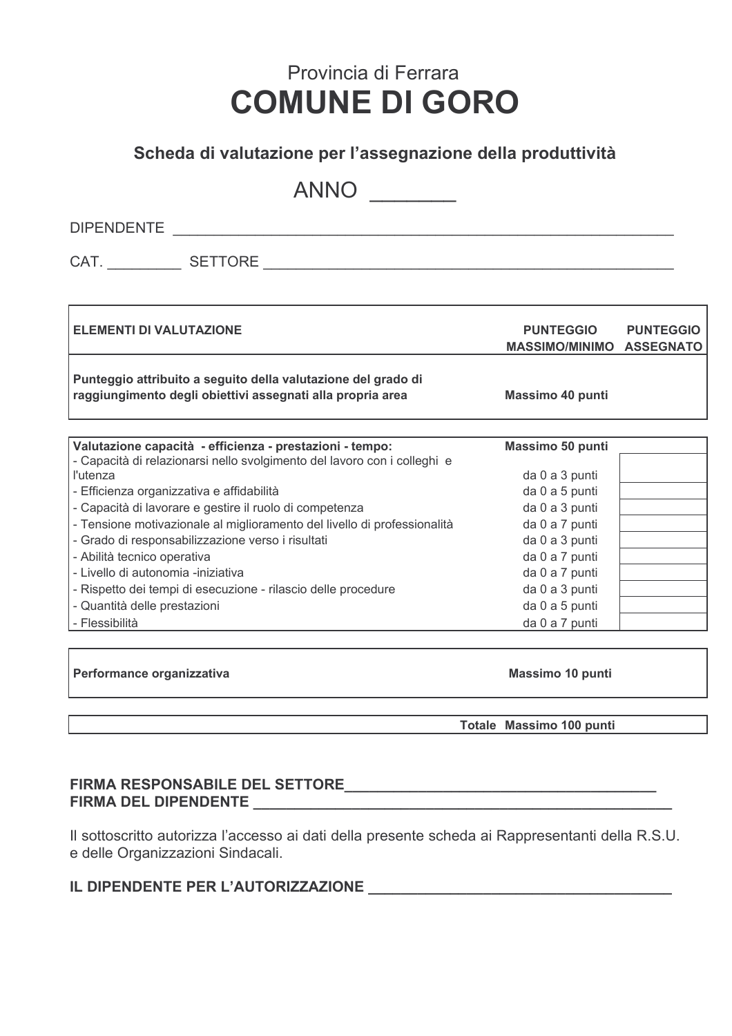# Scheda di valutazione per l'assegnazione della produttività

ANNO

CAT. SETTORE SETTORE

**ELEMENTI DI VALUTAZIONE PUNTEGGIO PUNTEGGIO MASSIMO/MINIMO ASSEGNATO** Punteggio attribuito a seguito della valutazione del grado di raggiungimento degli obiettivi assegnati alla propria area Massimo 40 punti Valutazione capacità - efficienza - prestazioni - tempo: Massimo 50 punti - Capacità di relazionarsi nello svolgimento del lavoro con i colleghi e l'utenza da 0 a 3 punti - Efficienza organizzativa e affidabilità da 0 a 5 punti - Capacità di lavorare e gestire il ruolo di competenza da 0 a 3 punti - Tensione motivazionale al miglioramento del livello di professionalità da 0 a 7 punti - Grado di responsabilizzazione verso i risultati da 0 a 3 punti - Abilità tecnico operativa da 0 a 7 punti - Livello di autonomia -iniziativa da 0 a 7 punti - Rispetto dei tempi di esecuzione - rilascio delle procedure da 0 a 3 punti - Quantità delle prestazioni da 0 a 5 punti - Flessibilità da 0 a 7 punti

Performance organizzativa

Massimo 10 punti

Totale Massimo 100 punti

# FIRMA DEL DIPENDENTE

Il sottoscritto autorizza l'accesso ai dati della presente scheda ai Rappresentanti della R.S.U. e delle Organizzazioni Sindacali.

# IL DIPENDENTE PER L'AUTORIZZAZIONE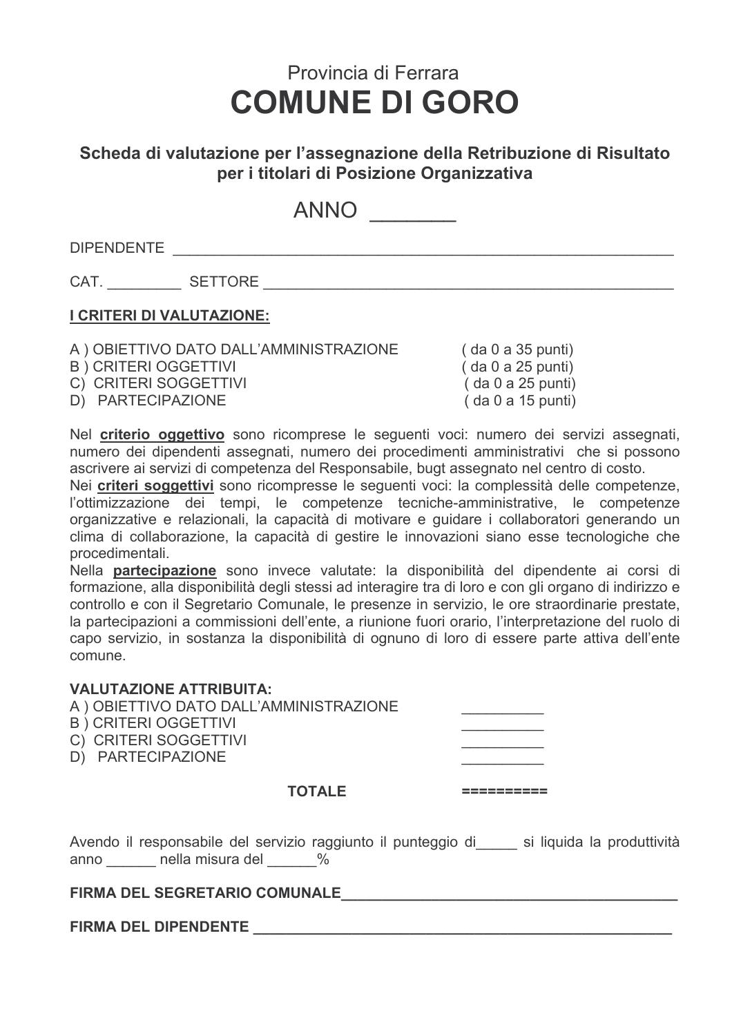# Scheda di valutazione per l'assegnazione della Retribuzione di Risultato per i titolari di Posizione Organizzativa

ANNO

CAT. SETTORE SETTORE

# I CRITERI DI VALUTAZIONE:

A ) OBIETTIVO DATO DALL'AMMINISTRAZIONE **B** ) CRITERI OGGETTIVI

C) CRITERI SOGGETTIVI D) PARTECIPAZIONE

 $( da 0 a 35 punti)$  $( da 0 a 25 punti)$  $($  da 0 a 25 punti $)$  $( da 0 a 15 punti)$ 

Nel criterio oggettivo sono ricomprese le seguenti voci: numero dei servizi assegnati, numero dei dipendenti assegnati, numero dei procedimenti amministrativi che si possono ascrivere ai servizi di competenza del Responsabile, bugt assegnato nel centro di costo.

Nei criteri soggettivi sono ricompresse le sequenti voci: la complessità delle competenze. l'ottimizzazione dei tempi, le competenze tecniche-amministrative, le competenze organizzative e relazionali, la capacità di motivare e guidare i collaboratori generando un clima di collaborazione, la capacità di gestire le innovazioni siano esse tecnologiche che procedimentali.

Nella partecipazione sono invece valutate: la disponibilità del dipendente ai corsi di formazione, alla disponibilità degli stessi ad interagire tra di loro e con gli organo di indirizzo e controllo e con il Segretario Comunale, le presenze in servizio, le ore straordinarie prestate, la partecipazioni a commissioni dell'ente, a riunione fuori orario, l'interpretazione del ruolo di capo servizio, in sostanza la disponibilità di ognuno di loro di essere parte attiva dell'ente comune

| <b>VALUTAZIONE ATTRIBUITA:</b><br>A ) OBIETTIVO DATO DALL'AMMINISTRAZIONE<br><b>B</b> ) CRITERI OGGETTIVI<br>C) CRITERI SOGGETTIVI<br>D) PARTECIPAZIONE |  |
|---------------------------------------------------------------------------------------------------------------------------------------------------------|--|
| <b>TOTALE</b>                                                                                                                                           |  |

Avendo il responsabile del servizio raggiunto il punteggio di si liquida la produttività anno nella misura del %

# FIRMA DEL SEGRETARIO COMUNALE NA ESPECIALIZADE EN EL SEGRETARIO COMUNALE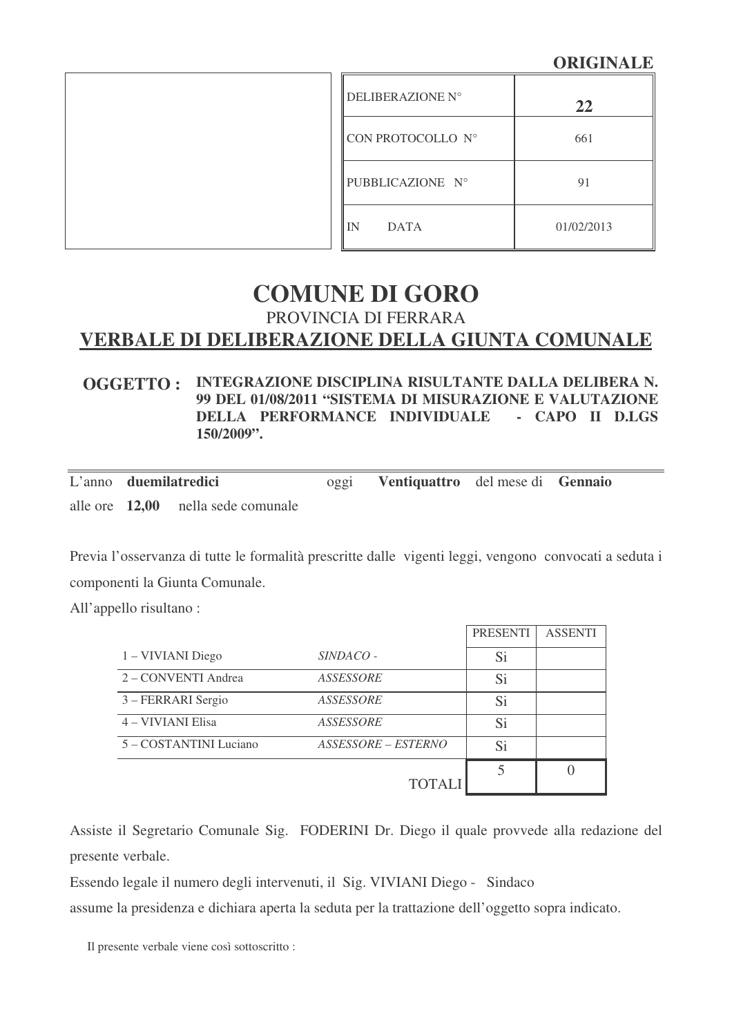# **ORIGINALE**

| DELIBERAZIONE N°    | 22         |
|---------------------|------------|
| CON PROTOCOLLO N°   | 661        |
| PUBBLICAZIONE N°    | 91         |
| l IN<br><b>DATA</b> | 01/02/2013 |

# **COMUNE DI GORO** PROVINCIA DI FERRARA **VERBALE DI DELIBERAZIONE DELLA GIUNTA COMUNALE**

#### **OGGETTO : INTEGRAZIONE DISCIPLINA RISULTANTE DALLA DELIBERA N. 99 DEL 01/08/2011 "SISTEMA DI MISURAZIONE E VALUTAZIONE DELLA PERFORMANCE INDIVIDUALE - CAPO II D.LGS 150/2009".**

|  | L'anno duemilatredici                | $^{0}$ ggl | Ventiquattro del mese di Gennaio |  |  |
|--|--------------------------------------|------------|----------------------------------|--|--|
|  | alle ore $12,00$ nella sede comunale |            |                                  |  |  |

Previa l'osservanza di tutte le formalità prescritte dalle vigenti leggi, vengono convocati a seduta i componenti la Giunta Comunale.

All'appello risultano :

|                        |                     | <b>PRESENTI</b> | <b>ASSENTI</b> |
|------------------------|---------------------|-----------------|----------------|
| 1 – VIVIANI Diego      | SINDACO -           | Si              |                |
| 2 – CONVENTI Andrea    | ASSESSORE           | Si              |                |
| 3 – FERRARI Sergio     | ASSESSORE           | Si              |                |
| 4 – VIVIANI Elisa      | ASSESSORE           | Si              |                |
| 5 - COSTANTINI Luciano | ASSESSORE – ESTERNO | Si              |                |
|                        |                     |                 |                |
|                        | <b>TOTALI</b>       |                 |                |

Assiste il Segretario Comunale Sig. FODERINI Dr. Diego il quale provvede alla redazione del presente verbale.

Essendo legale il numero degli intervenuti, il Sig. VIVIANI Diego - Sindaco

assume la presidenza e dichiara aperta la seduta per la trattazione dell'oggetto sopra indicato.

Il presente verbale viene così sottoscritto :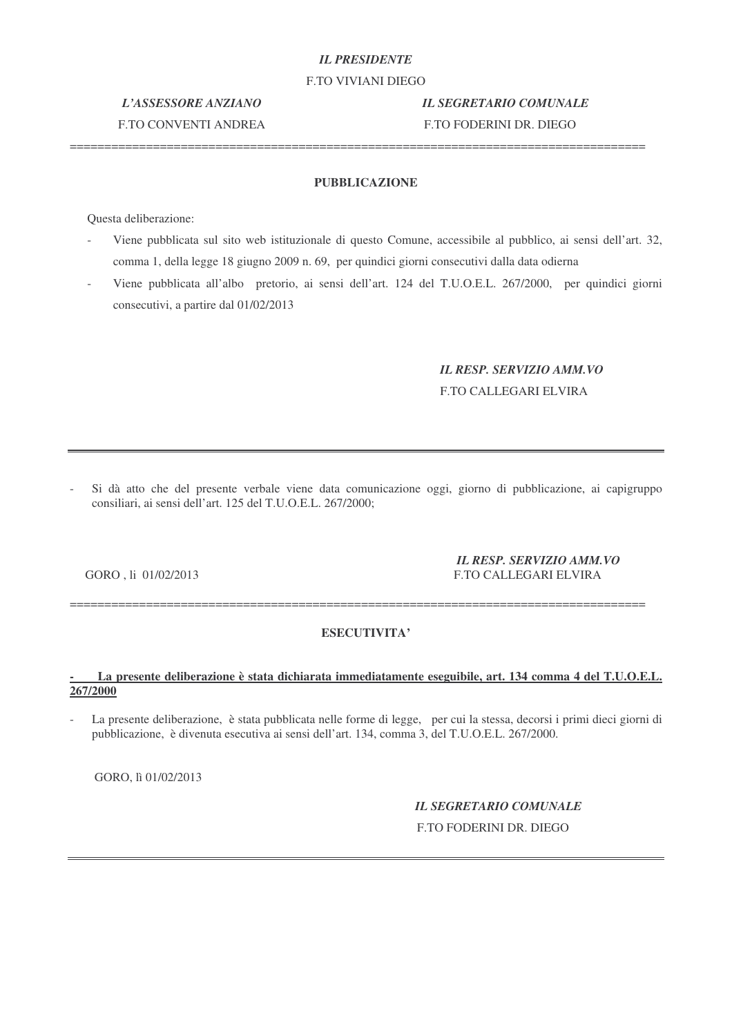### *IL PRESIDENTE*

F.TO VIVIANI DIEGO

# F.TO CONVENTI ANDREA F.TO FODERINI DR. DIEGO

*L'ASSESSORE ANZIANO IL SEGRETARIO COMUNALE*

#### **PUBBLICAZIONE**

===================================================================================

Questa deliberazione:

- Viene pubblicata sul sito web istituzionale di questo Comune, accessibile al pubblico, ai sensi dell'art. 32, comma 1, della legge 18 giugno 2009 n. 69, per quindici giorni consecutivi dalla data odierna
- Viene pubblicata all'albo pretorio, ai sensi dell'art. 124 del T.U.O.E.L. 267/2000, per quindici giorni consecutivi, a partire dal 01/02/2013

# *IL RESP. SERVIZIO AMM.VO* F.TO CALLEGARI ELVIRA

- Si dà atto che del presente verbale viene data comunicazione oggi, giorno di pubblicazione, ai capigruppo consiliari, ai sensi dell'art. 125 del T.U.O.E.L. 267/2000;

#### *IL RESP. SERVIZIO AMM.VO* GORO , li 01/02/2013 F.TO CALLEGARI ELVIRA

#### ===================================================================================

#### **ESECUTIVITA'**

#### **- La presente deliberazione è stata dichiarata immediatamente eseguibile, art. 134 comma 4 del T.U.O.E.L. 267/2000**

- La presente deliberazione, è stata pubblicata nelle forme di legge, per cui la stessa, decorsi i primi dieci giorni di pubblicazione, è divenuta esecutiva ai sensi dell'art. 134, comma 3, del T.U.O.E.L. 267/2000.

GORO, lì 01/02/2013

### *IL SEGRETARIO COMUNALE* F.TO FODERINI DR. DIEGO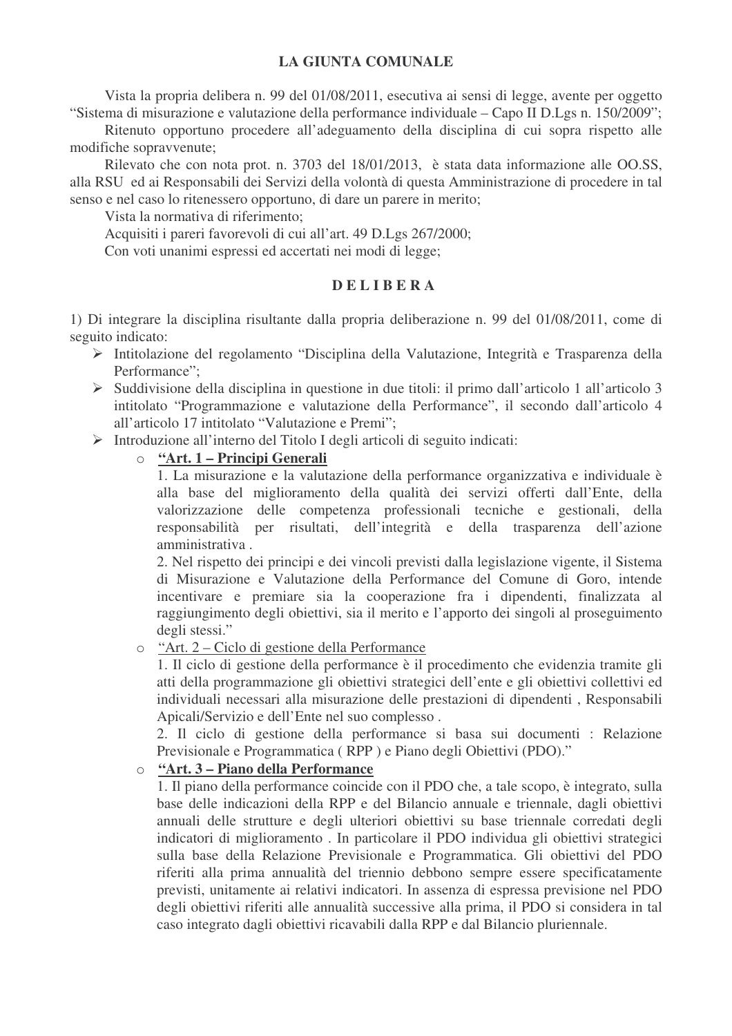Vista la propria delibera n. 99 del 01/08/2011, esecutiva ai sensi di legge, avente per oggetto "Sistema di misurazione e valutazione della performance individuale – Capo II D.Lgs n. 150/2009";

Ritenuto opportuno procedere all'adeguamento della disciplina di cui sopra rispetto alle modifiche sopravvenute;

Rilevato che con nota prot. n. 3703 del 18/01/2013, è stata data informazione alle OO.SS, alla RSU ed ai Responsabili dei Servizi della volontà di questa Amministrazione di procedere in tal senso e nel caso lo ritenessero opportuno, di dare un parere in merito;

Vista la normativa di riferimento;

Acquisiti i pareri favorevoli di cui all'art. 49 D.Lgs 267/2000;

Con voti unanimi espressi ed accertati nei modi di legge;

#### **D E L I B E R A**

1) Di integrare la disciplina risultante dalla propria deliberazione n. 99 del 01/08/2011, come di seguito indicato:

- Intitolazione del regolamento "Disciplina della Valutazione, Integrità e Trasparenza della Performance";
- $\triangleright$  Suddivisione della disciplina in questione in due titoli: il primo dall'articolo 1 all'articolo 3 intitolato "Programmazione e valutazione della Performance", il secondo dall'articolo 4 all'articolo 17 intitolato "Valutazione e Premi";
- Introduzione all'interno del Titolo I degli articoli di seguito indicati:
	- o **"Art. 1 – Principi Generali**

1. La misurazione e la valutazione della performance organizzativa e individuale è alla base del miglioramento della qualità dei servizi offerti dall'Ente, della valorizzazione delle competenza professionali tecniche e gestionali, della responsabilità per risultati, dell'integrità e della trasparenza dell'azione amministrativa .

2. Nel rispetto dei principi e dei vincoli previsti dalla legislazione vigente, il Sistema di Misurazione e Valutazione della Performance del Comune di Goro, intende incentivare e premiare sia la cooperazione fra i dipendenti, finalizzata al raggiungimento degli obiettivi, sia il merito e l'apporto dei singoli al proseguimento degli stessi."

o "Art. 2 – Ciclo di gestione della Performance

1. Il ciclo di gestione della performance è il procedimento che evidenzia tramite gli atti della programmazione gli obiettivi strategici dell'ente e gli obiettivi collettivi ed individuali necessari alla misurazione delle prestazioni di dipendenti , Responsabili Apicali/Servizio e dell'Ente nel suo complesso .

2. Il ciclo di gestione della performance si basa sui documenti : Relazione Previsionale e Programmatica ( RPP ) e Piano degli Obiettivi (PDO)."

### o **"Art. 3 – Piano della Performance**

1. Il piano della performance coincide con il PDO che, a tale scopo, è integrato, sulla base delle indicazioni della RPP e del Bilancio annuale e triennale, dagli obiettivi annuali delle strutture e degli ulteriori obiettivi su base triennale corredati degli indicatori di miglioramento . In particolare il PDO individua gli obiettivi strategici sulla base della Relazione Previsionale e Programmatica. Gli obiettivi del PDO riferiti alla prima annualità del triennio debbono sempre essere specificatamente previsti, unitamente ai relativi indicatori. In assenza di espressa previsione nel PDO degli obiettivi riferiti alle annualità successive alla prima, il PDO si considera in tal caso integrato dagli obiettivi ricavabili dalla RPP e dal Bilancio pluriennale.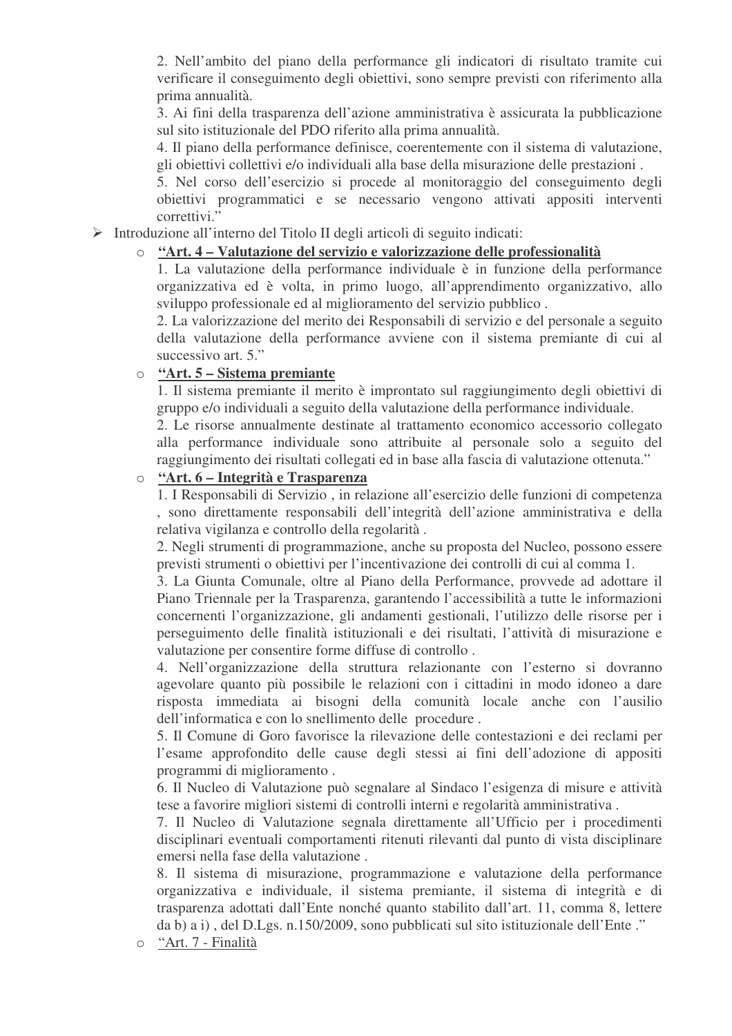2. Nell'ambito del piano della performance gli indicatori di risultato tramite cui verificare il conseguimento degli obiettivi, sono sempre previsti con riferimento alla prima annualità.

3. Ai fini della trasparenza dell'azione amministrativa è assicurata la pubblicazione sul sito istituzionale del PDO riferito alla prima annualità.

4. Il piano della performance definisce, coerentemente con il sistema di valutazione, gli obiettivi collettivi e/o individuali alla base della misurazione delle prestazioni .

5. Nel corso dell'esercizio si procede al monitoraggio del conseguimento degli obiettivi programmatici e se necessario vengono attivati appositi interventi correttivi."

Introduzione all'interno del Titolo II degli articoli di seguito indicati:

# o **"Art. 4 – Valutazione del servizio e valorizzazione delle professionalità**

1. La valutazione della performance individuale è in funzione della performance organizzativa ed è volta, in primo luogo, all'apprendimento organizzativo, allo sviluppo professionale ed al miglioramento del servizio pubblico .

2. La valorizzazione del merito dei Responsabili di servizio e del personale a seguito della valutazione della performance avviene con il sistema premiante di cui al successivo art. 5."

### o **"Art. 5 – Sistema premiante**

1. Il sistema premiante il merito è improntato sul raggiungimento degli obiettivi di gruppo e/o individuali a seguito della valutazione della performance individuale.

2. Le risorse annualmente destinate al trattamento economico accessorio collegato alla performance individuale sono attribuite al personale solo a seguito del raggiungimento dei risultati collegati ed in base alla fascia di valutazione ottenuta."

# o **"Art. 6 – Integrità e Trasparenza**

1. I Responsabili di Servizio , in relazione all'esercizio delle funzioni di competenza , sono direttamente responsabili dell'integrità dell'azione amministrativa e della relativa vigilanza e controllo della regolarità .

2. Negli strumenti di programmazione, anche su proposta del Nucleo, possono essere previsti strumenti o obiettivi per l'incentivazione dei controlli di cui al comma 1.

3. La Giunta Comunale, oltre al Piano della Performance, provvede ad adottare il Piano Triennale per la Trasparenza, garantendo l'accessibilità a tutte le informazioni concernenti l'organizzazione, gli andamenti gestionali, l'utilizzo delle risorse per i perseguimento delle finalità istituzionali e dei risultati, l'attività di misurazione e valutazione per consentire forme diffuse di controllo .

4. Nell'organizzazione della struttura relazionante con l'esterno si dovranno agevolare quanto più possibile le relazioni con i cittadini in modo idoneo a dare risposta immediata ai bisogni della comunità locale anche con l'ausilio dell'informatica e con lo snellimento delle procedure .

5. Il Comune di Goro favorisce la rilevazione delle contestazioni e dei reclami per l'esame approfondito delle cause degli stessi ai fini dell'adozione di appositi programmi di miglioramento .

6. Il Nucleo di Valutazione può segnalare al Sindaco l'esigenza di misure e attività tese a favorire migliori sistemi di controlli interni e regolarità amministrativa .

7. Il Nucleo di Valutazione segnala direttamente all'Ufficio per i procedimenti disciplinari eventuali comportamenti ritenuti rilevanti dal punto di vista disciplinare emersi nella fase della valutazione .

8. Il sistema di misurazione, programmazione e valutazione della performance organizzativa e individuale, il sistema premiante, il sistema di integrità e di trasparenza adottati dall'Ente nonché quanto stabilito dall'art. 11, comma 8, lettere da b) a i) , del D.Lgs. n.150/2009, sono pubblicati sul sito istituzionale dell'Ente ."

o "Art. 7 - Finalità